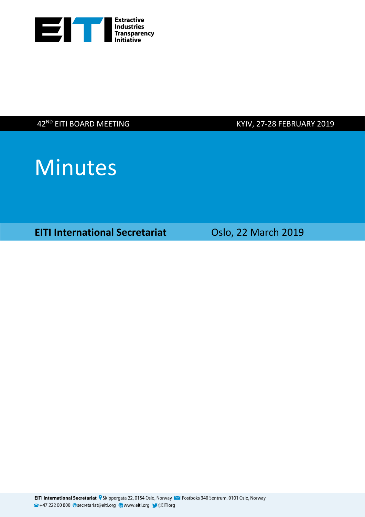

42<sup>ND</sup> EITI BOARD MEETING

KYIV, 27-28 FEBRUARY 2019



**EITI International Secretariat Casable Oslo, 22 March 2019**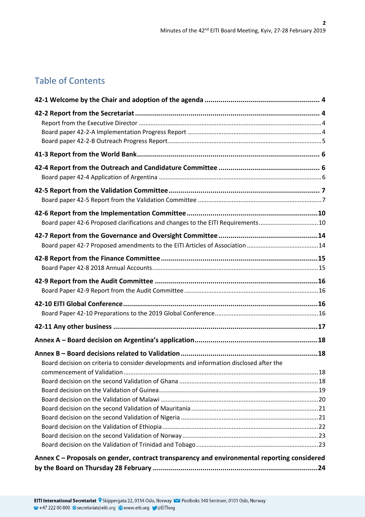# Table of Contents

| Board paper 42-6 Proposed clarifications and changes to the EITI Requirements10             |  |
|---------------------------------------------------------------------------------------------|--|
|                                                                                             |  |
|                                                                                             |  |
|                                                                                             |  |
|                                                                                             |  |
|                                                                                             |  |
|                                                                                             |  |
| Board decision on criteria to consider developments and information disclosed after the     |  |
|                                                                                             |  |
|                                                                                             |  |
|                                                                                             |  |
| Annex C - Proposals on gender, contract transparency and environmental reporting considered |  |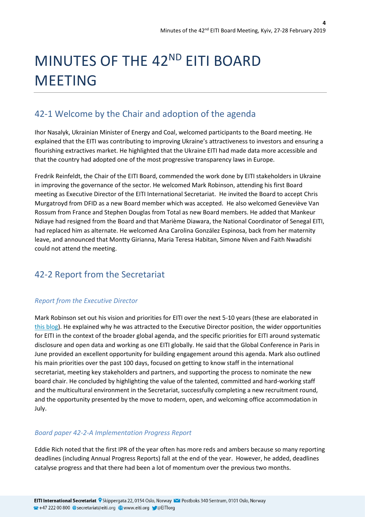# MINUTES OF THE 42<sup>ND</sup> EITI BOARD MEETING

# <span id="page-3-0"></span>42-1 Welcome by the Chair and adoption of the agenda

Ihor Nasalyk, Ukrainian Minister of Energy and Coal, welcomed participants to the Board meeting. He explained that the EITI was contributing to improving Ukraine's attractiveness to investors and ensuring a flourishing extractives market. He highlighted that the Ukraine EITI had made data more accessible and that the country had adopted one of the most progressive transparency laws in Europe.

Fredrik Reinfeldt, the Chair of the EITI Board, commended the work done by EITI stakeholders in Ukraine in improving the governance of the sector. He welcomed Mark Robinson, attending his first Board meeting as Executive Director of the EITI International Secretariat. He invited the Board to accept Chris Murgatroyd from DFID as a new Board member which was accepted. He also welcomed Geneviève Van Rossum from France and Stephen Douglas from Total as new Board members. He added that Mankeur Ndiaye had resigned from the Board and that Marième Diawara, the National Coordinator of Senegal EITI, had replaced him as alternate. He welcomed Ana Carolina González Espinosa, back from her maternity leave, and announced that Montty Girianna, Maria Teresa Habitan, Simone Niven and Faith Nwadishi could not attend the meeting.

# <span id="page-3-1"></span>42-2 Report from the Secretariat

### <span id="page-3-2"></span>*Report from the Executive Director*

Mark Robinson set out his vision and priorities for EITI over the next 5-10 years (these are elaborated in [this blog\)](https://eiti.org/blog/my-vision-for-eiti). He explained why he was attracted to the Executive Director position, the wider opportunities for EITI in the context of the broader global agenda, and the specific priorities for EITI around systematic disclosure and open data and working as one EITI globally. He said that the Global Conference in Paris in June provided an excellent opportunity for building engagement around this agenda. Mark also outlined his main priorities over the past 100 days, focused on getting to know staff in the international secretariat, meeting key stakeholders and partners, and supporting the process to nominate the new board chair. He concluded by highlighting the value of the talented, committed and hard-working staff and the multicultural environment in the Secretariat, successfully completing a new recruitment round, and the opportunity presented by the move to modern, open, and welcoming office accommodation in July.

### <span id="page-3-3"></span>*Board paper 42-2-A Implementation Progress Report*

Eddie Rich noted that the first IPR of the year often has more reds and ambers because so many reporting deadlines (including Annual Progress Reports) fall at the end of the year. However, he added, deadlines catalyse progress and that there had been a lot of momentum over the previous two months.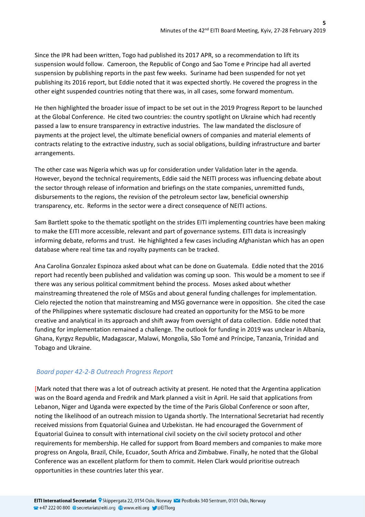Since the IPR had been written, Togo had published its 2017 APR, so a recommendation to lift its suspension would follow. Cameroon, the Republic of Congo and Sao Tome e Principe had all averted suspension by publishing reports in the past few weeks. Suriname had been suspended for not yet publishing its 2016 report, but Eddie noted that it was expected shortly. He covered the progress in the other eight suspended countries noting that there was, in all cases, some forward momentum.

He then highlighted the broader issue of impact to be set out in the 2019 Progress Report to be launched at the Global Conference. He cited two countries: the country spotlight on Ukraine which had recently passed a law to ensure transparency in extractive industries. The law mandated the disclosure of payments at the project level, the ultimate beneficial owners of companies and material elements of contracts relating to the extractive industry, such as social obligations, building infrastructure and barter arrangements.

The other case was Nigeria which was up for consideration under Validation later in the agenda. However, beyond the technical requirements, Eddie said the NEITI process was influencing debate about the sector through release of information and briefings on the state companies, unremitted funds, disbursements to the regions, the revision of the petroleum sector law, beneficial ownership transparency, etc. Reforms in the sector were a direct consequence of NEITI actions.

Sam Bartlett spoke to the thematic spotlight on the strides EITI implementing countries have been making to make the EITI more accessible, relevant and part of governance systems. EITI data is increasingly informing debate, reforms and trust. He highlighted a few cases including Afghanistan which has an open database where real time tax and royalty payments can be tracked.

Ana Carolina Gonzalez Espinoza asked about what can be done on Guatemala. Eddie noted that the 2016 report had recently been published and validation was coming up soon. This would be a moment to see if there was any serious political commitment behind the process. Moses asked about whether mainstreaming threatened the role of MSGs and about general funding challenges for implementation. Cielo rejected the notion that mainstreaming and MSG governance were in opposition. She cited the case of the Philippines where systematic disclosure had created an opportunity for the MSG to be more creative and analytical in its approach and shift away from oversight of data collection. Eddie noted that funding for implementation remained a challenge. The outlook for funding in 2019 was unclear in Albania, Ghana, Kyrgyz Republic, Madagascar, Malawi, Mongolia, São Tomé and Príncipe, Tanzania, Trinidad and Tobago and Ukraine.

### <span id="page-4-0"></span>*Board paper 42-2-B Outreach Progress Report*

[Mark noted that there was a lot of outreach activity at present. He noted that the Argentina application was on the Board agenda and Fredrik and Mark planned a visit in April. He said that applications from Lebanon, Niger and Uganda were expected by the time of the Paris Global Conference or soon after, noting the likelihood of an outreach mission to Uganda shortly. The International Secretariat had recently received missions from Equatorial Guinea and Uzbekistan. He had encouraged the Government of Equatorial Guinea to consult with international civil society on the civil society protocol and other requirements for membership. He called for support from Board members and companies to make more progress on Angola, Brazil, Chile, Ecuador, South Africa and Zimbabwe. Finally, he noted that the Global Conference was an excellent platform for them to commit. Helen Clark would prioritise outreach opportunities in these countries later this year.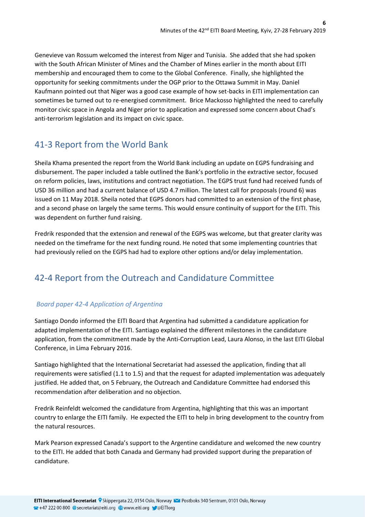Genevieve van Rossum welcomed the interest from Niger and Tunisia. She added that she had spoken with the South African Minister of Mines and the Chamber of Mines earlier in the month about EITI membership and encouraged them to come to the Global Conference. Finally, she highlighted the opportunity for seeking commitments under the OGP prior to the Ottawa Summit in May. Daniel Kaufmann pointed out that Niger was a good case example of how set-backs in EITI implementation can sometimes be turned out to re-energised commitment. Brice Mackosso highlighted the need to carefully monitor civic space in Angola and Niger prior to application and expressed some concern about Chad's anti-terrorism legislation and its impact on civic space.

# <span id="page-5-0"></span>41-3 Report from the World Bank

Sheila Khama presented the report from the World Bank including an update on EGPS fundraising and disbursement. The paper included a table outlined the Bank's portfolio in the extractive sector, focused on reform policies, laws, institutions and contract negotiation. The EGPS trust fund had received funds of USD 36 million and had a current balance of USD 4.7 million. The latest call for proposals (round 6) was issued on 11 May 2018. Sheila noted that EGPS donors had committed to an extension of the first phase, and a second phase on largely the same terms. This would ensure continuity of support for the EITI. This was dependent on further fund raising.

Fredrik responded that the extension and renewal of the EGPS was welcome, but that greater clarity was needed on the timeframe for the next funding round. He noted that some implementing countries that had previously relied on the EGPS had had to explore other options and/or delay implementation.

# <span id="page-5-1"></span>42-4 Report from the Outreach and Candidature Committee

# <span id="page-5-2"></span>*Board paper 42-4 Application of Argentina*

Santiago Dondo informed the EITI Board that Argentina had submitted a candidature application for adapted implementation of the EITI. Santiago explained the different milestones in the candidature application, from the commitment made by the Anti-Corruption Lead, Laura Alonso, in the last EITI Global Conference, in Lima February 2016.

Santiago highlighted that the International Secretariat had assessed the application, finding that all requirements were satisfied (1.1 to 1.5) and that the request for adapted implementation was adequately justified. He added that, on 5 February, the Outreach and Candidature Committee had endorsed this recommendation after deliberation and no objection.

Fredrik Reinfeldt welcomed the candidature from Argentina, highlighting that this was an important country to enlarge the EITI family. He expected the EITI to help in bring development to the country from the natural resources.

Mark Pearson expressed Canada's support to the Argentine candidature and welcomed the new country to the EITI. He added that both Canada and Germany had provided support during the preparation of candidature.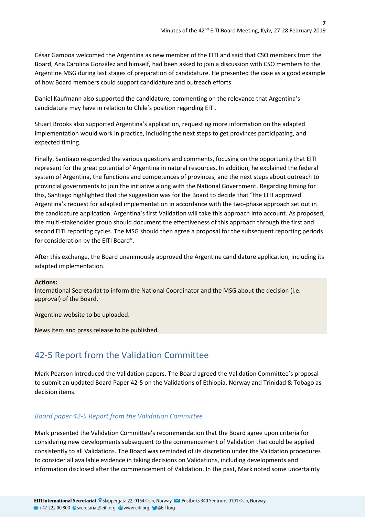César Gamboa welcomed the Argentina as new member of the EITI and said that CSO members from the Board, Ana Carolina González and himself, had been asked to join a discussion with CSO members to the Argentine MSG during last stages of preparation of candidature. He presented the case as a good example of how Board members could support candidature and outreach efforts.

Daniel Kaufmann also supported the candidature, commenting on the relevance that Argentina's candidature may have in relation to Chile's position regarding EITI.

Stuart Brooks also supported Argentina's application, requesting more information on the adapted implementation would work in practice, including the next steps to get provinces participating, and expected timing.

Finally, Santiago responded the various questions and comments, focusing on the opportunity that EITI represent for the great potential of Argentina in natural resources. In addition, he explained the federal system of Argentina, the functions and competences of provinces, and the next steps about outreach to provincial governments to join the initiative along with the National Government. Regarding timing for this, Santiago highlighted that the suggestion was for the Board to decide that "the EITI approved Argentina's request for adapted implementation in accordance with the two-phase approach set out in the candidature application. Argentina's first Validation will take this approach into account. As proposed, the multi-stakeholder group should document the effectiveness of this approach through the first and second EITI reporting cycles. The MSG should then agree a proposal for the subsequent reporting periods for consideration by the EITI Board".

After this exchange, the Board unanimously approved the Argentine candidature application, including its adapted implementation.

#### **Actions:**

International Secretariat to inform the National Coordinator and the MSG about the decision (i.e. approval) of the Board.

Argentine website to be uploaded.

News item and press release to be published.

# <span id="page-6-0"></span>42-5 Report from the Validation Committee

Mark Pearson introduced the Validation papers. The Board agreed the Validation Committee's proposal to submit an updated Board Paper 42-5 on the Validations of Ethiopia, Norway and Trinidad & Tobago as decision items.

### <span id="page-6-1"></span>*Board paper 42-5 Report from the Validation Committee*

Mark presented the Validation Committee's recommendation that the Board agree upon criteria for considering new developments subsequent to the commencement of Validation that could be applied consistently to all Validations. The Board was reminded of its discretion under the Validation procedures to consider all available evidence in taking decisions on Validations, including developments and information disclosed after the commencement of Validation. In the past, Mark noted some uncertainty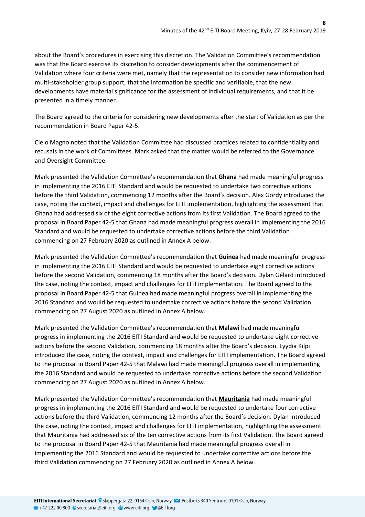about the Board's procedures in exercising this discretion. The Validation Committee's recommendation was that the Board exercise its discretion to consider developments after the commencement of Validation where four criteria were met, namely that the representation to consider new information had multi-stakeholder group support, that the information be specific and verifiable, that the new developments have material significance for the assessment of individual requirements, and that it be presented in a timely manner.

The Board agreed to the criteria for considering new developments after the start of Validation as per the recommendation in Board Paper 42-5.

Cielo Magno noted that the Validation Committee had discussed practices related to confidentiality and recusals in the work of Committees. Mark asked that the matter would be referred to the Governance and Oversight Committee.

Mark presented the Validation Committee's recommendation that **Ghana** had made meaningful progress in implementing the 2016 EITI Standard and would be requested to undertake two corrective actions before the third Validation, commencing 12 months after the Board's decision. Alex Gordy introduced the case, noting the context, impact and challenges for EITI implementation, highlighting the assessment that Ghana had addressed six of the eight corrective actions from its first Validation. The Board agreed to the proposal in Board Paper 42-5 that Ghana had made meaningful progress overall in implementing the 2016 Standard and would be requested to undertake corrective actions before the third Validation commencing on 27 February 2020 as outlined in Annex A below.

Mark presented the Validation Committee's recommendation that **Guinea** had made meaningful progress in implementing the 2016 EITI Standard and would be requested to undertake eight corrective actions before the second Validation, commencing 18 months after the Board's decision. Dylan Gélard introduced the case, noting the context, impact and challenges for EITI implementation. The Board agreed to the proposal in Board Paper 42-5 that Guinea had made meaningful progress overall in implementing the 2016 Standard and would be requested to undertake corrective actions before the second Validation commencing on 27 August 2020 as outlined in Annex A below.

Mark presented the Validation Committee's recommendation that **Malawi** had made meaningful progress in implementing the 2016 EITI Standard and would be requested to undertake eight corrective actions before the second Validation, commencing 18 months after the Board's decision. Lyydia Kilpi introduced the case, noting the context, impact and challenges for EITI implementation. The Board agreed to the proposal in Board Paper 42-5 that Malawi had made meaningful progress overall in implementing the 2016 Standard and would be requested to undertake corrective actions before the second Validation commencing on 27 August 2020 as outlined in Annex A below.

Mark presented the Validation Committee's recommendation that **Mauritania** had made meaningful progress in implementing the 2016 EITI Standard and would be requested to undertake four corrective actions before the third Validation, commencing 12 months after the Board's decision. Dylan introduced the case, noting the context, impact and challenges for EITI implementation, highlighting the assessment that Mauritania had addressed six of the ten corrective actions from its first Validation. The Board agreed to the proposal in Board Paper 42-5 that Mauritania had made meaningful progress overall in implementing the 2016 Standard and would be requested to undertake corrective actions before the third Validation commencing on 27 February 2020 as outlined in Annex A below.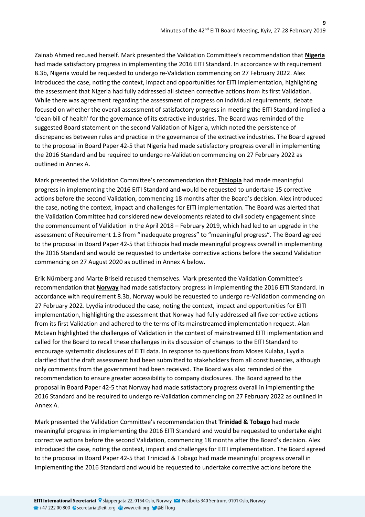Zainab Ahmed recused herself. Mark presented the Validation Committee's recommendation that **Nigeria** had made satisfactory progress in implementing the 2016 EITI Standard. In accordance with requirement 8.3b, Nigeria would be requested to undergo re-Validation commencing on 27 February 2022. Alex introduced the case, noting the context, impact and opportunities for EITI implementation, highlighting the assessment that Nigeria had fully addressed all sixteen corrective actions from its first Validation. While there was agreement regarding the assessment of progress on individual requirements, debate focused on whether the overall assessment of satisfactory progress in meeting the EITI Standard implied a 'clean bill of health' for the governance of its extractive industries. The Board was reminded of the suggested Board statement on the second Validation of Nigeria, which noted the persistence of discrepancies between rules and practice in the governance of the extractive industries. The Board agreed to the proposal in Board Paper 42-5 that Nigeria had made satisfactory progress overall in implementing the 2016 Standard and be required to undergo re-Validation commencing on 27 February 2022 as outlined in Annex A.

Mark presented the Validation Committee's recommendation that **Ethiopia** had made meaningful progress in implementing the 2016 EITI Standard and would be requested to undertake 15 corrective actions before the second Validation, commencing 18 months after the Board's decision. Alex introduced the case, noting the context, impact and challenges for EITI implementation. The Board was alerted that the Validation Committee had considered new developments related to civil society engagement since the commencement of Validation in the April 2018 – February 2019, which had led to an upgrade in the assessment of Requirement 1.3 from "inadequate progress" to "meaningful progress". The Board agreed to the proposal in Board Paper 42-5 that Ethiopia had made meaningful progress overall in implementing the 2016 Standard and would be requested to undertake corrective actions before the second Validation commencing on 27 August 2020 as outlined in Annex A below.

Erik Nürnberg and Marte Briseid recused themselves. Mark presented the Validation Committee's recommendation that **Norway** had made satisfactory progress in implementing the 2016 EITI Standard. In accordance with requirement 8.3b, Norway would be requested to undergo re-Validation commencing on 27 February 2022. Lyydia introduced the case, noting the context, impact and opportunities for EITI implementation, highlighting the assessment that Norway had fully addressed all five corrective actions from its first Validation and adhered to the terms of its mainstreamed implementation request. Alan McLean highlighted the challenges of Validation in the context of mainstreamed EITI implementation and called for the Board to recall these challenges in its discussion of changes to the EITI Standard to encourage systematic disclosures of EITI data. In response to questions from Moses Kulaba, Lyydia clarified that the draft assessment had been submitted to stakeholders from all constituencies, although only comments from the government had been received. The Board was also reminded of the recommendation to ensure greater accessibility to company disclosures. The Board agreed to the proposal in Board Paper 42-5 that Norway had made satisfactory progress overall in implementing the 2016 Standard and be required to undergo re-Validation commencing on 27 February 2022 as outlined in Annex A.

Mark presented the Validation Committee's recommendation that **Trinidad & Tobago** had made meaningful progress in implementing the 2016 EITI Standard and would be requested to undertake eight corrective actions before the second Validation, commencing 18 months after the Board's decision. Alex introduced the case, noting the context, impact and challenges for EITI implementation. The Board agreed to the proposal in Board Paper 42-5 that Trinidad & Tobago had made meaningful progress overall in implementing the 2016 Standard and would be requested to undertake corrective actions before the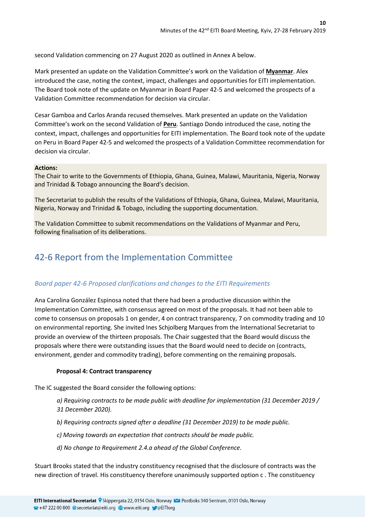second Validation commencing on 27 August 2020 as outlined in Annex A below.

Mark presented an update on the Validation Committee's work on the Validation of **Myanmar**. Alex introduced the case, noting the context, impact, challenges and opportunities for EITI implementation. The Board took note of the update on Myanmar in Board Paper 42-5 and welcomed the prospects of a Validation Committee recommendation for decision via circular.

Cesar Gamboa and Carlos Aranda recused themselves. Mark presented an update on the Validation Committee's work on the second Validation of **Peru**. Santiago Dondo introduced the case, noting the context, impact, challenges and opportunities for EITI implementation. The Board took note of the update on Peru in Board Paper 42-5 and welcomed the prospects of a Validation Committee recommendation for decision via circular.

#### **Actions:**

The Chair to write to the Governments of Ethiopia, Ghana, Guinea, Malawi, Mauritania, Nigeria, Norway and Trinidad & Tobago announcing the Board's decision.

The Secretariat to publish the results of the Validations of Ethiopia, Ghana, Guinea, Malawi, Mauritania, Nigeria, Norway and Trinidad & Tobago, including the supporting documentation.

The Validation Committee to submit recommendations on the Validations of Myanmar and Peru, following finalisation of its deliberations.

# <span id="page-9-0"></span>42-6 Report from the Implementation Committee

### <span id="page-9-1"></span>*Board paper 42-6 Proposed clarifications and changes to the EITI Requirements*

Ana Carolina González Espinosa noted that there had been a productive discussion within the Implementation Committee, with consensus agreed on most of the proposals. It had not been able to come to consensus on proposals 1 on gender, 4 on contract transparency, 7 on commodity trading and 10 on environmental reporting. She invited Ines Schjolberg Marques from the International Secretariat to provide an overview of the thirteen proposals. The Chair suggested that the Board would discuss the proposals where there were outstanding issues that the Board would need to decide on (contracts, environment, gender and commodity trading), before commenting on the remaining proposals.

### **Proposal 4: Contract transparency**

The IC suggested the Board consider the following options:

*a) Requiring contracts to be made public with deadline for implementation (31 December 2019 / 31 December 2020).* 

*b) Requiring contracts signed after a deadline (31 December 2019) to be made public.*

*c) Moving towards an expectation that contracts should be made public.*

*d) No change to Requirement 2.4.a ahead of the Global Conference.*

Stuart Brooks stated that the industry constituency recognised that the disclosure of contracts was the new direction of travel. His constituency therefore unanimously supported option c . The constituency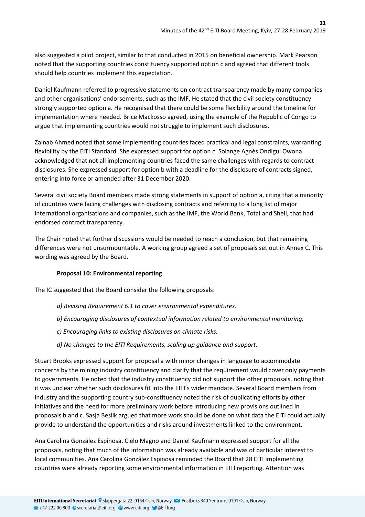also suggested a pilot project, similar to that conducted in 2015 on beneficial ownership. Mark Pearson noted that the supporting countries constituency supported option c and agreed that different tools should help countries implement this expectation.

Daniel Kaufmann referred to progressive statements on contract transparency made by many companies and other organisations' endorsements, such as the IMF. He stated that the civil society constituency strongly supported option a. He recognised that there could be some flexibility around the timeline for implementation where needed. Brice Mackosso agreed, using the example of the Republic of Congo to argue that implementing countries would not struggle to implement such disclosures.

Zainab Ahmed noted that some implementing countries faced practical and legal constraints, warranting flexibility by the EITI Standard. She expressed support for option c. Solange Agnès Ondigui Owona acknowledged that not all implementing countries faced the same challenges with regards to contract disclosures. She expressed support for option b with a deadline for the disclosure of contracts signed, entering into force or amended after 31 December 2020.

Several civil society Board members made strong statements in support of option a, citing that a minority of countries were facing challenges with disclosing contracts and referring to a long list of major international organisations and companies, such as the IMF, the World Bank, Total and Shell, that had endorsed contract transparency.

The Chair noted that further discussions would be needed to reach a conclusion, but that remaining differences were not unsurmountable. A working group agreed a set of proposals set out in Annex C. This wording was agreed by the Board.

### **Proposal 10: Environmental reporting**

The IC suggested that the Board consider the following proposals:

- *a) Revising Requirement 6.1 to cover environmental expenditures.*
- *b) Encouraging disclosures of contextual information related to environmental monitoring.*
- *c) Encouraging links to existing disclosures on climate risks.*
- *d) No changes to the EITI Requirements, scaling up guidance and support.*

Stuart Brooks expressed support for proposal a with minor changes in language to accommodate concerns by the mining industry constituency and clarify that the requirement would cover only payments to governments. He noted that the industry constituency did not support the other proposals, noting that it was unclear whether such disclosures fit into the EITI's wider mandate. Several Board members from industry and the supporting country sub-constituency noted the risk of duplicating efforts by other initiatives and the need for more preliminary work before introducing new provisions outlined in proposals b and c. Sasja Beslik argued that more work should be done on what data the EITI could actually provide to understand the opportunities and risks around investments linked to the environment.

Ana Carolina González Espinosa, Cielo Magno and Daniel Kaufmann expressed support for all the proposals, noting that much of the information was already available and was of particular interest to local communities. Ana Carolina González Espinosa reminded the Board that 28 EITI implementing countries were already reporting some environmental information in EITI reporting. Attention was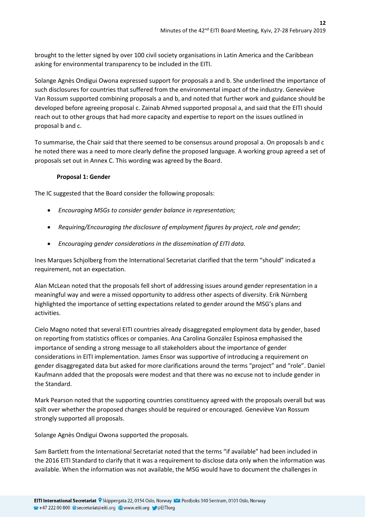brought to the letter signed by over 100 civil society organisations in Latin America and the Caribbean asking for environmental transparency to be included in the EITI.

Solange Agnès Ondigui Owona expressed support for proposals a and b. She underlined the importance of such disclosures for countries that suffered from the environmental impact of the industry. Geneviève Van Rossum supported combining proposals a and b, and noted that further work and guidance should be developed before agreeing proposal c. Zainab Ahmed supported proposal a, and said that the EITI should reach out to other groups that had more capacity and expertise to report on the issues outlined in proposal b and c.

To summarise, the Chair said that there seemed to be consensus around proposal a. On proposals b and c he noted there was a need to more clearly define the proposed language. A working group agreed a set of proposals set out in Annex C. This wording was agreed by the Board.

### **Proposal 1: Gender**

The IC suggested that the Board consider the following proposals:

- *Encouraging MSGs to consider gender balance in representation;*
- *Requiring/Encouraging the disclosure of employment figures by project, role and gender;*
- *Encouraging gender considerations in the dissemination of EITI data.*

Ines Marques Schjolberg from the International Secretariat clarified that the term "should" indicated a requirement, not an expectation.

Alan McLean noted that the proposals fell short of addressing issues around gender representation in a meaningful way and were a missed opportunity to address other aspects of diversity. Erik Nürnberg highlighted the importance of setting expectations related to gender around the MSG's plans and activities.

Cielo Magno noted that several EITI countries already disaggregated employment data by gender, based on reporting from statistics offices or companies. Ana Carolina González Espinosa emphasised the importance of sending a strong message to all stakeholders about the importance of gender considerations in EITI implementation. James Ensor was supportive of introducing a requirement on gender disaggregated data but asked for more clarifications around the terms "project" and "role". Daniel Kaufmann added that the proposals were modest and that there was no excuse not to include gender in the Standard.

Mark Pearson noted that the supporting countries constituency agreed with the proposals overall but was spilt over whether the proposed changes should be required or encouraged. Geneviève Van Rossum strongly supported all proposals.

Solange Agnès Ondigui Owona supported the proposals.

Sam Bartlett from the International Secretariat noted that the terms "if available" had been included in the 2016 EITI Standard to clarify that it was a requirement to disclose data only when the information was available. When the information was not available, the MSG would have to document the challenges in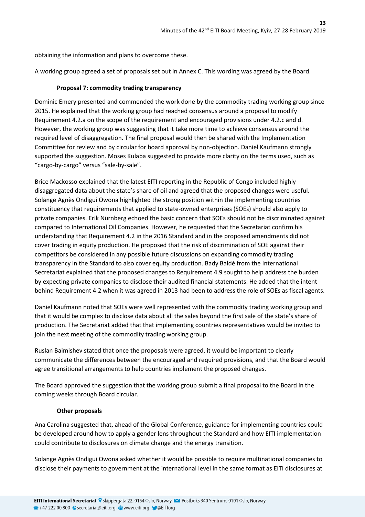obtaining the information and plans to overcome these.

A working group agreed a set of proposals set out in Annex C. This wording was agreed by the Board.

### **Proposal 7: commodity trading transparency**

Dominic Emery presented and commended the work done by the commodity trading working group since 2015. He explained that the working group had reached consensus around a proposal to modify Requirement 4.2.a on the scope of the requirement and encouraged provisions under 4.2.c and d. However, the working group was suggesting that it take more time to achieve consensus around the required level of disaggregation. The final proposal would then be shared with the Implementation Committee for review and by circular for board approval by non-objection. Daniel Kaufmann strongly supported the suggestion. Moses Kulaba suggested to provide more clarity on the terms used, such as "cargo-by-cargo" versus "sale-by-sale".

Brice Mackosso explained that the latest EITI reporting in the Republic of Congo included highly disaggregated data about the state's share of oil and agreed that the proposed changes were useful. Solange Agnès Ondigui Owona highlighted the strong position within the implementing countries constituency that requirements that applied to state-owned enterprises (SOEs) should also apply to private companies. Erik Nürnberg echoed the basic concern that SOEs should not be discriminated against compared to International Oil Companies. However, he requested that the Secretariat confirm his understanding that Requirement 4.2 in the 2016 Standard and in the proposed amendments did not cover trading in equity production. He proposed that the risk of discrimination of SOE against their competitors be considered in any possible future discussions on expanding commodity trading transparency in the Standard to also cover equity production. Bady Baldé from the International Secretariat explained that the proposed changes to Requirement 4.9 sought to help address the burden by expecting private companies to disclose their audited financial statements. He added that the intent behind Requirement 4.2 when it was agreed in 2013 had been to address the role of SOEs as fiscal agents.

Daniel Kaufmann noted that SOEs were well represented with the commodity trading working group and that it would be complex to disclose data about all the sales beyond the first sale of the state's share of production. The Secretariat added that that implementing countries representatives would be invited to join the next meeting of the commodity trading working group.

Ruslan Baimishev stated that once the proposals were agreed, it would be important to clearly communicate the differences between the encouraged and required provisions, and that the Board would agree transitional arrangements to help countries implement the proposed changes.

The Board approved the suggestion that the working group submit a final proposal to the Board in the coming weeks through Board circular.

### **Other proposals**

Ana Carolina suggested that, ahead of the Global Conference, guidance for implementing countries could be developed around how to apply a gender lens throughout the Standard and how EITI implementation could contribute to disclosures on climate change and the energy transition.

Solange Agnès Ondigui Owona asked whether it would be possible to require multinational companies to disclose their payments to government at the international level in the same format as EITI disclosures at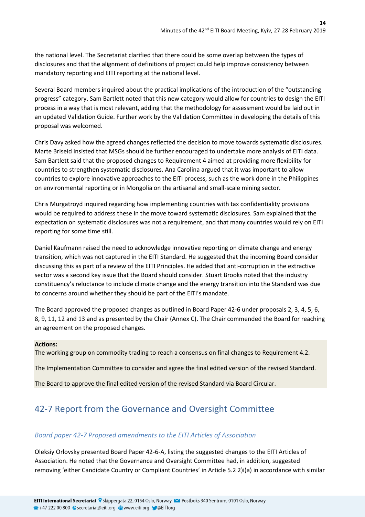the national level. The Secretariat clarified that there could be some overlap between the types of disclosures and that the alignment of definitions of project could help improve consistency between mandatory reporting and EITI reporting at the national level.

Several Board members inquired about the practical implications of the introduction of the "outstanding progress" category. Sam Bartlett noted that this new category would allow for countries to design the EITI process in a way that is most relevant, adding that the methodology for assessment would be laid out in an updated Validation Guide. Further work by the Validation Committee in developing the details of this proposal was welcomed.

Chris Davy asked how the agreed changes reflected the decision to move towards systematic disclosures. Marte Briseid insisted that MSGs should be further encouraged to undertake more analysis of EITI data. Sam Bartlett said that the proposed changes to Requirement 4 aimed at providing more flexibility for countries to strengthen systematic disclosures. Ana Carolina argued that it was important to allow countries to explore innovative approaches to the EITI process, such as the work done in the Philippines on environmental reporting or in Mongolia on the artisanal and small-scale mining sector.

Chris Murgatroyd inquired regarding how implementing countries with tax confidentiality provisions would be required to address these in the move toward systematic disclosures. Sam explained that the expectation on systematic disclosures was not a requirement, and that many countries would rely on EITI reporting for some time still.

Daniel Kaufmann raised the need to acknowledge innovative reporting on climate change and energy transition, which was not captured in the EITI Standard. He suggested that the incoming Board consider discussing this as part of a review of the EITI Principles. He added that anti-corruption in the extractive sector was a second key issue that the Board should consider. Stuart Brooks noted that the industry constituency's reluctance to include climate change and the energy transition into the Standard was due to concerns around whether they should be part of the EITI's mandate.

The Board approved the proposed changes as outlined in Board Paper 42-6 under proposals 2, 3, 4, 5, 6, 8, 9, 11, 12 and 13 and as presented by the Chair (Annex C). The Chair commended the Board for reaching an agreement on the proposed changes.

### **Actions:**

The working group on commodity trading to reach a consensus on final changes to Requirement 4.2.

The Implementation Committee to consider and agree the final edited version of the revised Standard.

The Board to approve the final edited version of the revised Standard via Board Circular.

# <span id="page-13-0"></span>42-7 Report from the Governance and Oversight Committee

### <span id="page-13-1"></span>*Board paper 42-7 Proposed amendments to the EITI Articles of Association*

Oleksiy Orlovsky presented Board Paper 42-6-A, listing the suggested changes to the EITI Articles of Association. He noted that the Governance and Oversight Committee had, in addition, suggested removing 'either Candidate Country or Compliant Countries' in Article 5.2 2)i)a) in accordance with similar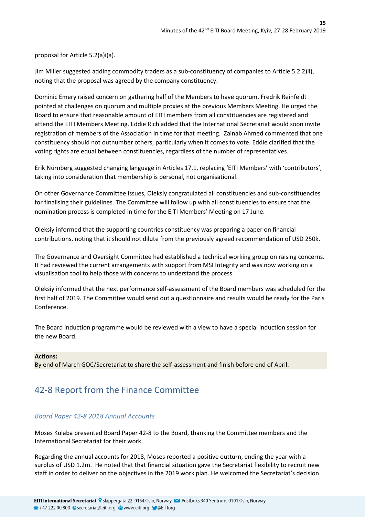proposal for Article 5.2(a)i)a).

Jim Miller suggested adding commodity traders as a sub-constituency of companies to Article 5.2 2)ii), noting that the proposal was agreed by the company constituency.

Dominic Emery raised concern on gathering half of the Members to have quorum. Fredrik Reinfeldt pointed at challenges on quorum and multiple proxies at the previous Members Meeting. He urged the Board to ensure that reasonable amount of EITI members from all constituencies are registered and attend the EITI Members Meeting. Eddie Rich added that the International Secretariat would soon invite registration of members of the Association in time for that meeting. Zainab Ahmed commented that one constituency should not outnumber others, particularly when it comes to vote. Eddie clarified that the voting rights are equal between constituencies, regardless of the number of representatives.

Erik Nürnberg suggested changing language in Articles 17.1, replacing 'EITI Members' with 'contributors', taking into consideration that membership is personal, not organisational.

On other Governance Committee issues, Oleksiy congratulated all constituencies and sub-constituencies for finalising their guidelines. The Committee will follow up with all constituencies to ensure that the nomination process is completed in time for the EITI Members' Meeting on 17 June.

Oleksiy informed that the supporting countries constituency was preparing a paper on financial contributions, noting that it should not dilute from the previously agreed recommendation of USD 250k.

The Governance and Oversight Committee had established a technical working group on raising concerns. It had reviewed the current arrangements with support from MSI Integrity and was now working on a visualisation tool to help those with concerns to understand the process.

Oleksiy informed that the next performance self-assessment of the Board members was scheduled for the first half of 2019. The Committee would send out a questionnaire and results would be ready for the Paris Conference.

The Board induction programme would be reviewed with a view to have a special induction session for the new Board.

#### **Actions:**

By end of March GOC/Secretariat to share the self-assessment and finish before end of April.

# <span id="page-14-0"></span>42-8 Report from the Finance Committee

### <span id="page-14-1"></span>*Board Paper 42-8 2018 Annual Accounts*

Moses Kulaba presented Board Paper 42-8 to the Board, thanking the Committee members and the International Secretariat for their work.

Regarding the annual accounts for 2018, Moses reported a positive outturn, ending the year with a surplus of USD 1.2m. He noted that that financial situation gave the Secretariat flexibility to recruit new staff in order to deliver on the objectives in the 2019 work plan. He welcomed the Secretariat's decision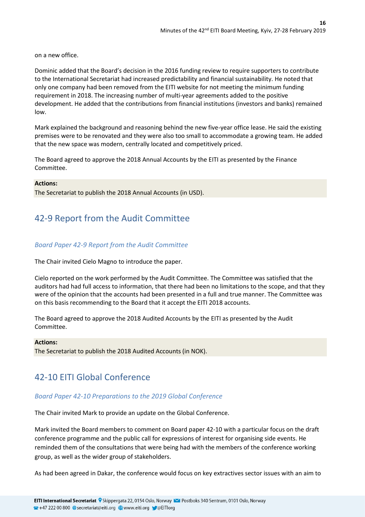on a new office.

Dominic added that the Board's decision in the 2016 funding review to require supporters to contribute to the International Secretariat had increased predictability and financial sustainability. He noted that only one company had been removed from the EITI website for not meeting the minimum funding requirement in 2018. The increasing number of multi-year agreements added to the positive development. He added that the contributions from financial institutions (investors and banks) remained low.

Mark explained the background and reasoning behind the new five-year office lease. He said the existing premises were to be renovated and they were also too small to accommodate a growing team. He added that the new space was modern, centrally located and competitively priced.

The Board agreed to approve the 2018 Annual Accounts by the EITI as presented by the Finance Committee.

#### **Actions:**

The Secretariat to publish the 2018 Annual Accounts (in USD).

# <span id="page-15-0"></span>42-9 Report from the Audit Committee

### <span id="page-15-1"></span>*Board Paper 42-9 Report from the Audit Committee*

The Chair invited Cielo Magno to introduce the paper.

Cielo reported on the work performed by the Audit Committee. The Committee was satisfied that the auditors had had full access to information, that there had been no limitations to the scope, and that they were of the opinion that the accounts had been presented in a full and true manner. The Committee was on this basis recommending to the Board that it accept the EITI 2018 accounts.

The Board agreed to approve the 2018 Audited Accounts by the EITI as presented by the Audit Committee.

#### **Actions:**

The Secretariat to publish the 2018 Audited Accounts (in NOK).

# <span id="page-15-2"></span>42-10 EITI Global Conference

### <span id="page-15-3"></span>*Board Paper 42-10 Preparations to the 2019 Global Conference*

The Chair invited Mark to provide an update on the Global Conference.

Mark invited the Board members to comment on Board paper 42-10 with a particular focus on the draft conference programme and the public call for expressions of interest for organising side events. He reminded them of the consultations that were being had with the members of the conference working group, as well as the wider group of stakeholders.

As had been agreed in Dakar, the conference would focus on key extractives sector issues with an aim to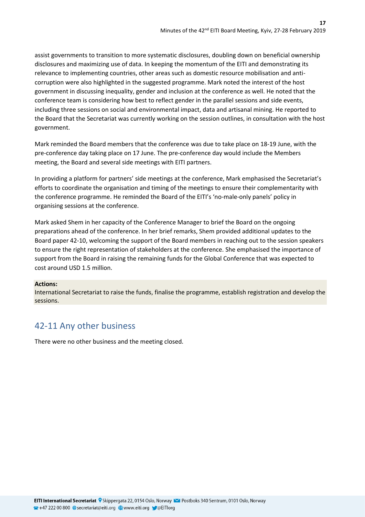assist governments to transition to more systematic disclosures, doubling down on beneficial ownership disclosures and maximizing use of data. In keeping the momentum of the EITI and demonstrating its relevance to implementing countries, other areas such as domestic resource mobilisation and anticorruption were also highlighted in the suggested programme. Mark noted the interest of the host government in discussing inequality, gender and inclusion at the conference as well. He noted that the conference team is considering how best to reflect gender in the parallel sessions and side events, including three sessions on social and environmental impact, data and artisanal mining. He reported to the Board that the Secretariat was currently working on the session outlines, in consultation with the host government.

Mark reminded the Board members that the conference was due to take place on 18-19 June, with the pre-conference day taking place on 17 June. The pre-conference day would include the Members meeting, the Board and several side meetings with EITI partners.

In providing a platform for partners' side meetings at the conference, Mark emphasised the Secretariat's efforts to coordinate the organisation and timing of the meetings to ensure their complementarity with the conference programme. He reminded the Board of the EITI's 'no-male-only panels' policy in organising sessions at the conference.

Mark asked Shem in her capacity of the Conference Manager to brief the Board on the ongoing preparations ahead of the conference. In her brief remarks, Shem provided additional updates to the Board paper 42-10, welcoming the support of the Board members in reaching out to the session speakers to ensure the right representation of stakeholders at the conference. She emphasised the importance of support from the Board in raising the remaining funds for the Global Conference that was expected to cost around USD 1.5 million.

#### **Actions:**

International Secretariat to raise the funds, finalise the programme, establish registration and develop the sessions.

# <span id="page-16-0"></span>42-11 Any other business

There were no other business and the meeting closed.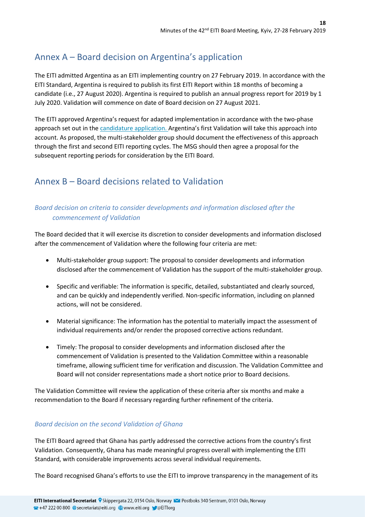# <span id="page-17-0"></span>Annex A – Board decision on Argentina's application

The EITI admitted Argentina as an EITI implementing country on 27 February 2019. In accordance with the EITI Standard, Argentina is required to publish its first EITI Report within 18 months of becoming a candidate (i.e., 27 August 2020). Argentina is required to publish an annual progress report for 2019 by 1 July 2020. Validation will commence on date of Board decision on 27 August 2021.

The EITI approved Argentina's request for adapted implementation in accordance with the two‐phase approach set out in the [candidature application.](https://eiti.org/document/argentina-eiti-candidature-application) Argentina's first Validation will take this approach into account. As proposed, the multi-stakeholder group should document the effectiveness of this approach through the first and second EITI reporting cycles. The MSG should then agree a proposal for the subsequent reporting periods for consideration by the EITI Board.

# <span id="page-17-1"></span>Annex B – Board decisions related to Validation

### <span id="page-17-2"></span>*Board decision on criteria to consider developments and information disclosed after the commencement of Validation*

The Board decided that it will exercise its discretion to consider developments and information disclosed after the commencement of Validation where the following four criteria are met:

- Multi-stakeholder group support: The proposal to consider developments and information disclosed after the commencement of Validation has the support of the multi-stakeholder group.
- Specific and verifiable: The information is specific, detailed, substantiated and clearly sourced, and can be quickly and independently verified. Non-specific information, including on planned actions, will not be considered.
- Material significance: The information has the potential to materially impact the assessment of individual requirements and/or render the proposed corrective actions redundant.
- Timely: The proposal to consider developments and information disclosed after the commencement of Validation is presented to the Validation Committee within a reasonable timeframe, allowing sufficient time for verification and discussion. The Validation Committee and Board will not consider representations made a short notice prior to Board decisions.

The Validation Committee will review the application of these criteria after six months and make a recommendation to the Board if necessary regarding further refinement of the criteria.

### <span id="page-17-3"></span>*Board decision on the second Validation of Ghana*

The EITI Board agreed that Ghana has partly addressed the corrective actions from the country's first Validation. Consequently, Ghana has made meaningful progress overall with implementing the EITI Standard, with considerable improvements across several individual requirements.

The Board recognised Ghana's efforts to use the EITI to improve transparency in the management of its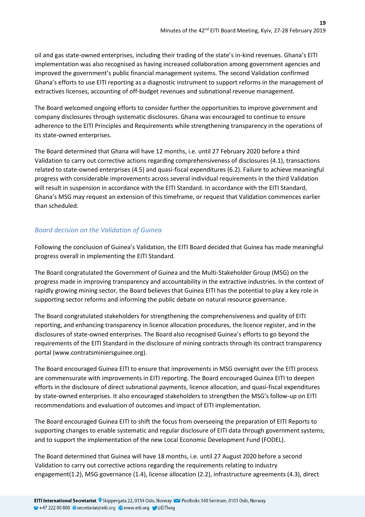oil and gas state-owned enterprises, including their trading of the state's in-kind revenues. Ghana's EITI implementation was also recognised as having increased collaboration among government agencies and improved the government's public financial management systems. The second Validation confirmed Ghana's efforts to use EITI reporting as a diagnostic instrument to support reforms in the management of extractives licenses, accounting of off-budget revenues and subnational revenue management.

The Board welcomed ongoing efforts to consider further the opportunities to improve government and company disclosures through systematic disclosures. Ghana was encouraged to continue to ensure adherence to the EITI Principles and Requirements while strengthening transparency in the operations of its state-owned enterprises.

The Board determined that Ghana will have 12 months, i.e. until 27 February 2020 before a third Validation to carry out corrective actions regarding comprehensiveness of disclosures (4.1), transactions related to state-owned enterprises (4.5) and quasi-fiscal expenditures (6.2). Failure to achieve meaningful progress with considerable improvements across several individual requirements in the third Validation will result in suspension in accordance with the EITI Standard. In accordance with the EITI Standard, Ghana's MSG may request an extension of this timeframe, or request that Validation commences earlier than scheduled.

### <span id="page-18-0"></span>*Board decision on the Validation of Guinea*

Following the conclusion of Guinea's Validation, the EITI Board decided that Guinea has made meaningful progress overall in implementing the EITI Standard.

The Board congratulated the Government of Guinea and the Multi-Stakeholder Group (MSG) on the progress made in improving transparency and accountability in the extractive industries. In the context of rapidly growing mining sector, the Board believes that Guinea EITI has the potential to play a key role in supporting sector reforms and informing the public debate on natural resource governance.

The Board congratulated stakeholders for strengthening the comprehensiveness and quality of EITI reporting, and enhancing transparency in licence allocation procedures, the licence register, and in the disclosures of state-owned enterprises. The Board also recognised Guinea's efforts to go beyond the requirements of the EITI Standard in the disclosure of mining contracts through its contract transparency portal (www.contratsminiersguinee.org).

The Board encouraged Guinea EITI to ensure that improvements in MSG oversight over the EITI process are commensurate with improvements in EITI reporting. The Board encouraged Guinea EITI to deepen efforts in the disclosure of direct subnational payments, licence allocation, and quasi-fiscal expenditures by state-owned enterprises. It also encouraged stakeholders to strengthen the MSG's follow-up on EITI recommendations and evaluation of outcomes and impact of EITI implementation.

The Board encouraged Guinea EITI to shift the focus from overseeing the preparation of EITI Reports to supporting changes to enable systematic and regular disclosure of EITI data through government systems; and to support the implementation of the new Local Economic Development Fund (FODEL).

The Board determined that Guinea will have 18 months, i.e. until 27 August 2020 before a second Validation to carry out corrective actions regarding the requirements relating to industry engagement(1.2), MSG governance (1.4), license allocation (2.2), infrastructure agreements (4.3), direct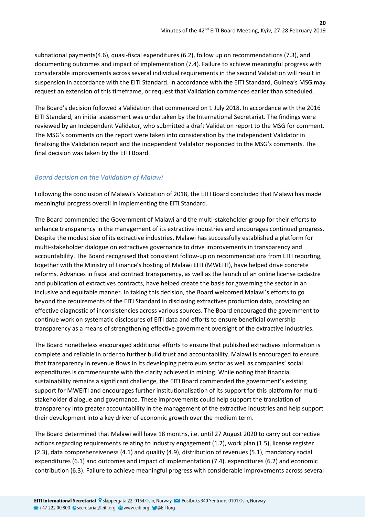subnational payments(4.6), quasi-fiscal expenditures (6.2), follow up on recommendations (7.3), and documenting outcomes and impact of implementation (7.4). Failure to achieve meaningful progress with considerable improvements across several individual requirements in the second Validation will result in suspension in accordance with the EITI Standard. In accordance with the EITI Standard, Guinea's MSG may request an extension of this timeframe, or request that Validation commences earlier than scheduled.

The Board's decision followed a Validation that commenced on 1 July 2018. In accordance with the 2016 EITI Standard, an initial assessment was undertaken by the International Secretariat. The findings were reviewed by an Independent Validator, who submitted a draft Validation report to the MSG for comment. The MSG's comments on the report were taken into consideration by the independent Validator in finalising the Validation report and the independent Validator responded to the MSG's comments. The final decision was taken by the EITI Board.

### <span id="page-19-0"></span>*Board decision on the Validation of Malawi*

Following the conclusion of Malawi's Validation of 2018, the EITI Board concluded that Malawi has made meaningful progress overall in implementing the EITI Standard.

The Board commended the Government of Malawi and the multi-stakeholder group for their efforts to enhance transparency in the management of its extractive industries and encourages continued progress. Despite the modest size of its extractive industries, Malawi has successfully established a platform for multi-stakeholder dialogue on extractives governance to drive improvements in transparency and accountability. The Board recognised that consistent follow-up on recommendations from EITI reporting, together with the Ministry of Finance's hosting of Malawi EITI (MWEITI), have helped drive concrete reforms. Advances in fiscal and contract transparency, as well as the launch of an online license cadastre and publication of extractives contracts, have helped create the basis for governing the sector in an inclusive and equitable manner. In taking this decision, the Board welcomed Malawi's efforts to go beyond the requirements of the EITI Standard in disclosing extractives production data, providing an effective diagnostic of inconsistencies across various sources. The Board encouraged the government to continue work on systematic disclosures of EITI data and efforts to ensure beneficial ownership transparency as a means of strengthening effective government oversight of the extractive industries.

The Board nonetheless encouraged additional efforts to ensure that published extractives information is complete and reliable in order to further build trust and accountability. Malawi is encouraged to ensure that transparency in revenue flows in its developing petroleum sector as well as companies' social expenditures is commensurate with the clarity achieved in mining. While noting that financial sustainability remains a significant challenge, the EITI Board commended the government's existing support for MWEITI and encourages further institutionalisation of its support for this platform for multistakeholder dialogue and governance. These improvements could help support the translation of transparency into greater accountability in the management of the extractive industries and help support their development into a key driver of economic growth over the medium term.

The Board determined that Malawi will have 18 months, i.e. until 27 August 2020 to carry out corrective actions regarding requirements relating to industry engagement (1.2), work plan (1.5), license register (2.3), data comprehensiveness (4.1) and quality (4.9), distribution of revenues (5.1), mandatory social expenditures (6.1) and outcomes and impact of implementation (7.4). expenditures (6.2) and economic contribution (6.3). Failure to achieve meaningful progress with considerable improvements across several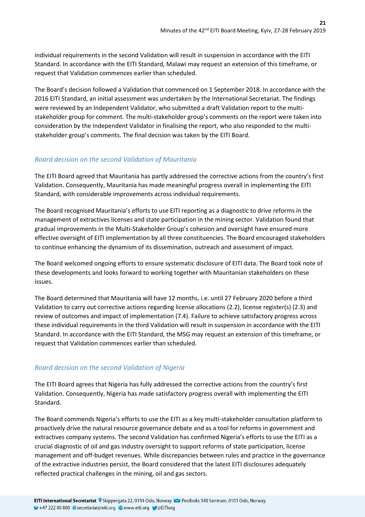individual requirements in the second Validation will result in suspension in accordance with the EITI Standard. In accordance with the EITI Standard, Malawi may request an extension of this timeframe, or request that Validation commences earlier than scheduled.

The Board's decision followed a Validation that commenced on 1 September 2018. In accordance with the 2016 EITI Standard, an initial assessment was undertaken by the International Secretariat. The findings were reviewed by an Independent Validator, who submitted a draft Validation report to the multistakeholder group for comment. The multi-stakeholder group's comments on the report were taken into consideration by the Independent Validator in finalising the report, who also responded to the multistakeholder group's comments. The final decision was taken by the EITI Board.

### <span id="page-20-0"></span>*Board decision on the second Validation of Mauritania*

The EITI Board agreed that Mauritania has partly addressed the corrective actions from the country's first Validation. Consequently, Mauritania has made meaningful progress overall in implementing the EITI Standard, with considerable improvements across individual requirements.

The Board recognised Mauritania's efforts to use EITI reporting as a diagnostic to drive reforms in the management of extractives licenses and state participation in the mining sector. Validation found that gradual improvements in the Multi-Stakeholder Group's cohesion and oversight have ensured more effective oversight of EITI implementation by all three constituencies. The Board encouraged stakeholders to continue enhancing the dynamism of its dissemination, outreach and assessment of impact.

The Board welcomed ongoing efforts to ensure systematic disclosure of EITI data. The Board took note of these developments and looks forward to working together with Mauritanian stakeholders on these issues.

The Board determined that Mauritania will have 12 months, i.e. until 27 February 2020 before a third Validation to carry out corrective actions regarding license allocations (2.2), license register(s) (2.3) and review of outcomes and impact of implementation (7.4). Failure to achieve satisfactory progress across these individual requirements in the third Validation will result in suspension in accordance with the EITI Standard. In accordance with the EITI Standard, the MSG may request an extension of this timeframe, or request that Validation commences earlier than scheduled.

### <span id="page-20-1"></span>*Board decision on the second Validation of Nigeria*

The EITI Board agrees that Nigeria has fully addressed the corrective actions from the country's first Validation. Consequently, Nigeria has made satisfactory progress overall with implementing the EITI Standard.

The Board commends Nigeria's efforts to use the EITI as a key multi-stakeholder consultation platform to proactively drive the natural resource governance debate and as a tool for reforms in government and extractives company systems. The second Validation has confirmed Nigeria's efforts to use the EITI as a crucial diagnostic of oil and gas industry oversight to support reforms of state participation, license management and off-budget revenues. While discrepancies between rules and practice in the governance of the extractive industries persist, the Board considered that the latest EITI disclosures adequately reflected practical challenges in the mining, oil and gas sectors.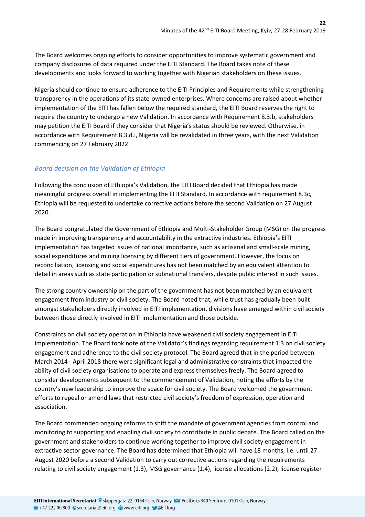The Board welcomes ongoing efforts to consider opportunities to improve systematic government and company disclosures of data required under the EITI Standard. The Board takes note of these developments and looks forward to working together with Nigerian stakeholders on these issues.

Nigeria should continue to ensure adherence to the EITI Principles and Requirements while strengthening transparency in the operations of its state-owned enterprises. Where concerns are raised about whether implementation of the EITI has fallen below the required standard, the EITI Board reserves the right to require the country to undergo a new Validation. In accordance with Requirement 8.3.b, stakeholders may petition the EITI Board if they consider that Nigeria's status should be reviewed. Otherwise, in accordance with Requirement 8.3.d.i, Nigeria will be revalidated in three years, with the next Validation commencing on 27 February 2022.

### <span id="page-21-0"></span>*Board decision on the Validation of Ethiopia*

Following the conclusion of Ethiopia's Validation, the EITI Board decided that Ethiopia has made meaningful progress overall in implementing the EITI Standard. In accordance with requirement 8.3c, Ethiopia will be requested to undertake corrective actions before the second Validation on 27 August 2020.

The Board congratulated the Government of Ethiopia and Multi-Stakeholder Group (MSG) on the progress made in improving transparency and accountability in the extractive industries. Ethiopia's EITI implementation has targeted issues of national importance, such as artisanal and small-scale mining, social expenditures and mining licensing by different tiers of government. However, the focus on reconciliation, licensing and social expenditures has not been matched by an equivalent attention to detail in areas such as state participation or subnational transfers, despite public interest in such issues.

The strong country ownership on the part of the government has not been matched by an equivalent engagement from industry or civil society. The Board noted that, while trust has gradually been built amongst stakeholders directly involved in EITI implementation, divisions have emerged within civil society between those directly involved in EITI implementation and those outside.

Constraints on civil society operation in Ethiopia have weakened civil society engagement in EITI implementation. The Board took note of the Validator's findings regarding requirement 1.3 on civil society engagement and adherence to the civil society protocol. The Board agreed that in the period between March 2014 - April 2018 there were significant legal and administrative constraints that impacted the ability of civil society organisations to operate and express themselves freely. The Board agreed to consider developments subsequent to the commencement of Validation, noting the efforts by the country's new leadership to improve the space for civil society. The Board welcomed the government efforts to repeal or amend laws that restricted civil society's freedom of expression, operation and association.

The Board commended ongoing reforms to shift the mandate of government agencies from control and monitoring to supporting and enabling civil society to contribute in public debate. The Board called on the government and stakeholders to continue working together to improve civil society engagement in extractive sector governance. The Board has determined that Ethiopia will have 18 months, i.e. until 27 August 2020 before a second Validation to carry out corrective actions regarding the requirements relating to civil society engagement (1.3), MSG governance (1.4), license allocations (2.2), license register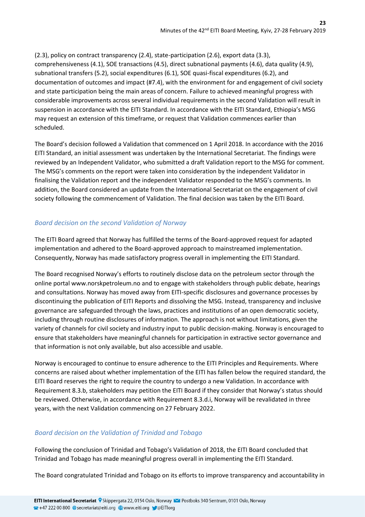(2.3), policy on contract transparency (2.4), state-participation (2.6), export data (3.3), comprehensiveness (4.1), SOE transactions (4.5), direct subnational payments (4.6), data quality (4.9), subnational transfers (5.2), social expenditures (6.1), SOE quasi-fiscal expenditures (6.2), and documentation of outcomes and impact (#7.4), with the environment for and engagement of civil society and state participation being the main areas of concern. Failure to achieved meaningful progress with considerable improvements across several individual requirements in the second Validation will result in suspension in accordance with the EITI Standard. In accordance with the EITI Standard, Ethiopia's MSG may request an extension of this timeframe, or request that Validation commences earlier than scheduled.

The Board's decision followed a Validation that commenced on 1 April 2018. In accordance with the 2016 EITI Standard, an initial assessment was undertaken by the International Secretariat. The findings were reviewed by an Independent Validator, who submitted a draft Validation report to the MSG for comment. The MSG's comments on the report were taken into consideration by the independent Validator in finalising the Validation report and the independent Validator responded to the MSG's comments. In addition, the Board considered an update from the International Secretariat on the engagement of civil society following the commencement of Validation. The final decision was taken by the EITI Board.

### <span id="page-22-0"></span>*Board decision on the second Validation of Norway*

The EITI Board agreed that Norway has fulfilled the terms of the Board-approved request for adapted implementation and adhered to the Board-approved approach to mainstreamed implementation. Consequently, Norway has made satisfactory progress overall in implementing the EITI Standard.

The Board recognised Norway's efforts to routinely disclose data on the petroleum sector through the online portal www.norskpetroleum.no and to engage with stakeholders through public debate, hearings and consultations. Norway has moved away from EITI-specific disclosures and governance processes by discontinuing the publication of EITI Reports and dissolving the MSG. Instead, transparency and inclusive governance are safeguarded through the laws, practices and institutions of an open democratic society, including through routine disclosures of information. The approach is not without limitations, given the variety of channels for civil society and industry input to public decision-making. Norway is encouraged to ensure that stakeholders have meaningful channels for participation in extractive sector governance and that information is not only available, but also accessible and usable.

Norway is encouraged to continue to ensure adherence to the EITI Principles and Requirements. Where concerns are raised about whether implementation of the EITI has fallen below the required standard, the EITI Board reserves the right to require the country to undergo a new Validation. In accordance with Requirement 8.3.b, stakeholders may petition the EITI Board if they consider that Norway's status should be reviewed. Otherwise, in accordance with Requirement 8.3.d.i, Norway will be revalidated in three years, with the next Validation commencing on 27 February 2022.

### <span id="page-22-1"></span>*Board decision on the Validation of Trinidad and Tobago*

Following the conclusion of Trinidad and Tobago's Validation of 2018, the EITI Board concluded that Trinidad and Tobago has made meaningful progress overall in implementing the EITI Standard.

The Board congratulated Trinidad and Tobago on its efforts to improve transparency and accountability in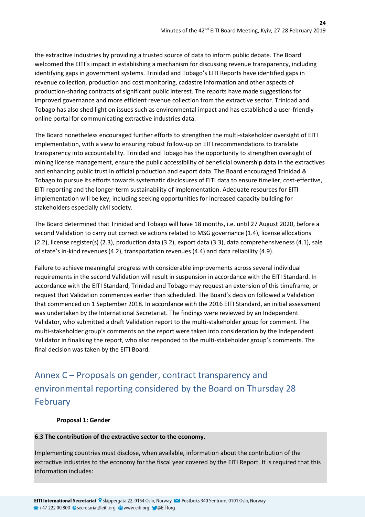the extractive industries by providing a trusted source of data to inform public debate. The Board welcomed the EITI's impact in establishing a mechanism for discussing revenue transparency, including identifying gaps in government systems. Trinidad and Tobago's EITI Reports have identified gaps in revenue collection, production and cost monitoring, cadastre information and other aspects of production-sharing contracts of significant public interest. The reports have made suggestions for improved governance and more efficient revenue collection from the extractive sector. Trinidad and Tobago has also shed light on issues such as environmental impact and has established a user-friendly online portal for communicating extractive industries data.

The Board nonetheless encouraged further efforts to strengthen the multi-stakeholder oversight of EITI implementation, with a view to ensuring robust follow-up on EITI recommendations to translate transparency into accountability. Trinidad and Tobago has the opportunity to strengthen oversight of mining license management, ensure the public accessibility of beneficial ownership data in the extractives and enhancing public trust in official production and export data. The Board encouraged Trinidad & Tobago to pursue its efforts towards systematic disclosures of EITI data to ensure timelier, cost-effective, EITI reporting and the longer-term sustainability of implementation. Adequate resources for EITI implementation will be key, including seeking opportunities for increased capacity building for stakeholders especially civil society.

The Board determined that Trinidad and Tobago will have 18 months, i.e. until 27 August 2020, before a second Validation to carry out corrective actions related to MSG governance (1.4), license allocations (2.2), license register(s) (2.3), production data (3.2), export data (3.3), data comprehensiveness (4.1), sale of state's in-kind revenues (4.2), transportation revenues (4.4) and data reliability (4.9).

Failure to achieve meaningful progress with considerable improvements across several individual requirements in the second Validation will result in suspension in accordance with the EITI Standard. In accordance with the EITI Standard, Trinidad and Tobago may request an extension of this timeframe, or request that Validation commences earlier than scheduled. The Board's decision followed a Validation that commenced on 1 September 2018. In accordance with the 2016 EITI Standard, an initial assessment was undertaken by the International Secretariat. The findings were reviewed by an Independent Validator, who submitted a draft Validation report to the multi-stakeholder group for comment. The multi-stakeholder group's comments on the report were taken into consideration by the Independent Validator in finalising the report, who also responded to the multi-stakeholder group's comments. The final decision was taken by the EITI Board.

# <span id="page-23-0"></span>Annex C – Proposals on gender, contract transparency and environmental reporting considered by the Board on Thursday 28 February

### **Proposal 1: Gender**

#### **6.3 The contribution of the extractive sector to the economy.**

Implementing countries must disclose, when available, information about the contribution of the extractive industries to the economy for the fiscal year covered by the EITI Report. It is required that this information includes: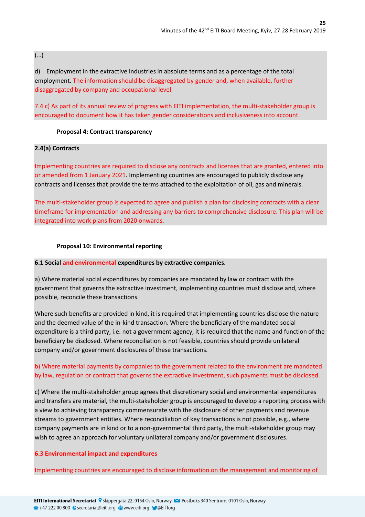(…)

d) Employment in the extractive industries in absolute terms and as a percentage of the total employment. The information should be disaggregated by gender and, when available, further disaggregated by company and occupational level.

7.4 c) As part of its annual review of progress with EITI implementation, the multi-stakeholder group is encouraged to document how it has taken gender considerations and inclusiveness into account.

### **Proposal 4: Contract transparency**

### **2.4(a) Contracts**

Implementing countries are required to disclose any contracts and licenses that are granted, entered into or amended from 1 January 2021. Implementing countries are encouraged to publicly disclose any contracts and licenses that provide the terms attached to the exploitation of oil, gas and minerals.

The multi-stakeholder group is expected to agree and publish a plan for disclosing contracts with a clear timeframe for implementation and addressing any barriers to comprehensive disclosure. This plan will be integrated into work plans from 2020 onwards.

### **Proposal 10: Environmental reporting**

#### **6.1 Social and environmental expenditures by extractive companies.**

a) Where material social expenditures by companies are mandated by law or contract with the government that governs the extractive investment, implementing countries must disclose and, where possible, reconcile these transactions.

Where such benefits are provided in kind, it is required that implementing countries disclose the nature and the deemed value of the in-kind transaction. Where the beneficiary of the mandated social expenditure is a third party, i.e. not a government agency, it is required that the name and function of the beneficiary be disclosed. Where reconciliation is not feasible, countries should provide unilateral company and/or government disclosures of these transactions.

### b) Where material payments by companies to the government related to the environment are mandated by law, regulation or contract that governs the extractive investment, such payments must be disclosed.

c) Where the multi-stakeholder group agrees that discretionary social and environmental expenditures and transfers are material, the multi-stakeholder group is encouraged to develop a reporting process with a view to achieving transparency commensurate with the disclosure of other payments and revenue streams to government entities. Where reconciliation of key transactions is not possible, e.g., where company payments are in kind or to a non-governmental third party, the multi-stakeholder group may wish to agree an approach for voluntary unilateral company and/or government disclosures.

### **6.3 Environmental impact and expenditures**

Implementing countries are encouraged to disclose information on the management and monitoring of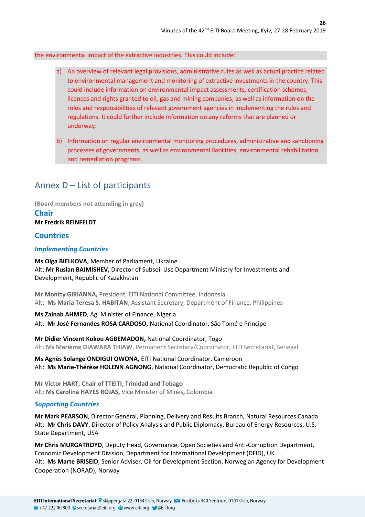### the environmental impact of the extractive industries. This could include:

- a) An overview of relevant legal provisions, administrative rules as well as actual practice related to environmental management and monitoring of extractive investments in the country. This could include information on environmental impact assessments, certification schemes, licences and rights granted to oil, gas and mining companies, as well as information on the roles and responsibilities of relevant government agencies in implementing the rules and regulations. It could further include information on any reforms that are planned or underway.
- b) Information on regular environmental monitoring procedures, administrative and sanctioning processes of governments, as well as environmental liabilities, environmental rehabilitation and remediation programs.

# <span id="page-25-0"></span>Annex D – List of participants

**(Board members not attending in grey)**

## **Chair**

**Mr Fredrik REINFELDT**

### <span id="page-25-1"></span>**Countries**

### <span id="page-25-2"></span>*Implementing Countries*

**Ms Olga BIELKOVA,** Member of Parliament, Ukraine Alt: **Mr Ruslan BAIMISHEV,** Director of Subsoil Use Department Ministry for Investments and Development, Republic of Kazakhstan

**Mr Montty GIRIANNA,** President, EITI National Committee, Indonesia Alt: **Ms Maria Teresa S. HABITAN**, Assistant Secretary, Department of Finance, Philippines

**Ms Zainab AHMED**, Ag. Minister of Finance, Nigeria Alt: **Mr José Fernandes ROSA CARDOSO,** [National Coordinator,](https://eiti.org/glossary#National_Coordinator) São Tomé e Principe

**Mr Didier Vincent Kokou AGBEMADON,** National Coordinator, Togo Alt: **Ms Marième DIAWARA THIAW**, Permanent Secretary/Coordinator, EITI Secretariat, Senegal

**Ms Agnès Solange ONDIGUI OWONA,** EITI National Coordinator, Cameroon Alt: **Ms Marie-Thérèse HOLENN AGNONG**, National Coordinator, Democratic Republic of Congo

**Mr Victor HART, Chair of TTEITI, Trinidad and Tobago** Alt: **Ms Carolina HAYES ROJAS,** Vice Minister of Mines**,** Colombia

#### *Supporting Countries*

**Mr Mark PEARSON**, Director General, Planning, Delivery and Results Branch, Natural Resources Canada Alt: **Mr Chris DAVY**, Director of Policy Analysis and Public Diplomacy, Bureau of Energy Resources, U.S. State Department, USA

**Mr Chris MURGATROYD**, Deputy Head, Governance, Open Societies and Anti-Corruption Department, Economic Development Division, Department for International Development (DFID), UK Alt: **Ms Marte BRISEID**, Senior Adviser, Oil for Development Section, Norwegian Agency for Development Cooperation (NORAD), Norway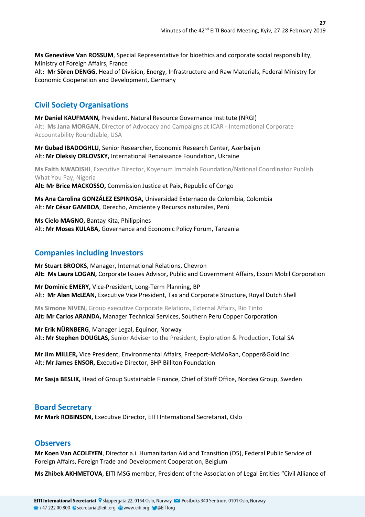**Ms Geneviève Van ROSSUM**, Special Representative for bioethics and corporate social responsibility, Ministry of Foreign Affairs, France Alt**: Mr Sören DENGG**, Head of Division, Energy, Infrastructure and Raw Materials, Federal Ministry for Economic Cooperation and Development, Germany

### **Civil Society Organisations**

**Mr Daniel KAUFMANN,** President, Natural Resource Governance Institute (NRGI) Alt: **Ms Jana MORGAN**, Director of Advocacy and Campaigns at ICAR - International Corporate Accountability Roundtable, USA

**Mr Gubad IBADOGHLU**, Senior Researcher, Economic Research Center, Azerbaijan Alt: **Mr Oleksiy ORLOVSKY,** International Renaissance Foundation, Ukraine

**Ms Faith NWADISHI**, Executive Director, Koyenum Immalah Foundation/National Coordinator Publish What You Pay, Nigeria

**Alt: Mr Brice MACKOSSO,** Commission Justice et Paix, Republic of Congo

**Ms Ana Carolina GONZÁLEZ ESPINOSA,** Universidad Externado de Colombia, Colombia Alt: **Mr César GAMBOA**, Derecho, Ambiente y Recursos naturales, Perú

**Ms Cielo MAGNO,** Bantay Kita, Philippines Alt: **Mr Moses KULABA,** Governance and Economic Policy Forum, Tanzania

### <span id="page-26-0"></span>**Companies including Investors**

**Mr Stuart BROOKS**, Manager, International Relations, Chevron **Alt: Ms Laura LOGAN,** Corporate Issues Advisor**,** Public and Government Affairs, Exxon Mobil Corporation

**Mr Dominic EMERY,** Vice-President, Long-Term Planning, BP Alt: **Mr Alan McLEAN,** Executive Vice President, Tax and Corporate Structure, Royal Dutch Shell

**Ms Simone NIVEN,** Group executive Corporate Relations, External Affairs, Rio Tinto **Alt: Mr Carlos ARANDA,** Manager Technical Services, Southern Peru Copper Corporation

**Mr Erik NÜRNBERG**, Manager Legal, Equinor, Norway Alt**: Mr Stephen DOUGLAS,** Senior Adviser to the President, Exploration & Production, Total SA

**Mr Jim MILLER,** Vice President, Environmental Affairs, Freeport-McMoRan, Copper&Gold Inc. Alt: **Mr James ENSOR,** Executive Director, BHP Billiton Foundation

**Mr Sasja BESLIK,** Head of Group Sustainable Finance, Chief of Staff Office, Nordea Group, Sweden

### **Board Secretary**

**Mr Mark ROBINSON,** Executive Director, EITI International Secretariat, Oslo

### **Observers**

**Mr Koen Van ACOLEYEN**, Director a.i. Humanitarian Aid and Transition (D5), Federal Public Service of Foreign Affairs, Foreign Trade and Development Cooperation, Belgium

**Ms Zhibek AKHMETOVA**, EITI MSG member, President of the Association of Legal Entities "Civil Alliance of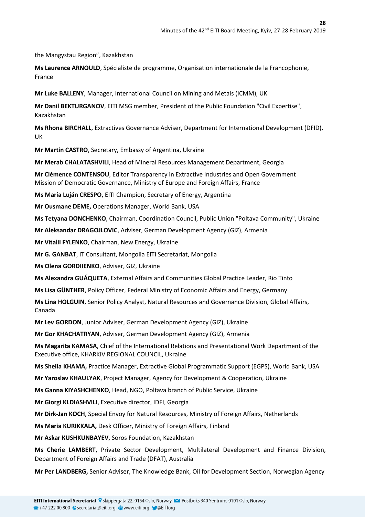the Mangystau Region", Kazakhstan

**Ms Laurence ARNOULD**, Spécialiste de programme, Organisation internationale de la Francophonie, France

**Mr Luke BALLENY**, Manager, International Council on Mining and Metals (ICMM), UK

**Mr Danil BEKTURGANOV**, EITI MSG member, President of the Public Foundation "Civil Expertise", Kazakhstan

**Ms Rhona BIRCHALL**, Extractives Governance Adviser, Department for International Development (DFID), UK

**Mr Martín CASTRO**, Secretary, Embassy of Argentina, Ukraine

**Mr Merab CHALATASHVILI**, Head of Mineral Resources Management Department, Georgia

**Mr Clémence CONTENSOU**, Editor Transparency in Extractive Industries and Open Government Mission of Democratic Governance, Ministry of Europe and Foreign Affairs, France

**Ms María Luján CRESPO**, EITI Champion, Secretary of Energy, Argentina

**Mr Ousmane DEME,** Operations Manager, World Bank, USA

**Ms Tetyana DONCHENKO**, Chairman, Coordination Council, Public Union "Poltava Community", Ukraine

**Mr Aleksandar DRAGOJLOVIC**, Adviser, German Development Agency (GIZ), Armenia

**Mr Vitalii FYLENKO**, Chairman, New Energy, Ukraine

**Mr G. GANBAT**, IT Consultant, Mongolia EITI Secretariat, Mongolia

**Ms Olena GORDIIENKO**, Adviser, GIZ, Ukraine

**Ms Alexandra GUÁQUETA**, External Affairs and Communities Global Practice Leader, Rio Tinto

**Ms Lisa GÜNTHER**, Policy Officer, Federal Ministry of Economic Affairs and Energy, Germany

**Ms Lina HOLGUIN**, Senior Policy Analyst, Natural Resources and Governance Division, Global Affairs, Canada

**Mr Lev GORDON**, Junior Adviser, German Development Agency (GIZ), Ukraine

**Mr Gor KHACHATRYAN**, Adviser, German Development Agency (GIZ), Armenia

**Ms Magarita KAMASA**, Chief of the International Relations and Presentational Work Department of the Executive office, KHARKIV REGIONAL COUNCIL, Ukraine

**Ms Sheila KHAMA,** Practice Manager, Extractive Global Programmatic Support (EGPS), World Bank, USA

**Mr Yaroslav KHAULYAK**, Project Manager, Agency for Development & Cooperation, Ukraine

**Ms Ganna KIYASHCHENKO**, Head, NGO, Poltava branch of Public Service, Ukraine

**Mr Giorgi KLDIASHVILI**, Executive director, IDFI, Georgia

**Mr Dirk-Jan KOCH**, Special Envoy for Natural Resources, Ministry of Foreign Affairs, Netherlands

**Ms Maria KURIKKALA,** Desk Officer, Ministry of Foreign Affairs, Finland

**Mr Askar KUSHKUNBAYEV**, Soros Foundation, Kazakhstan

**Ms Cherie LAMBERT**, Private Sector Development, Multilateral Development and Finance Division, Department of Foreign Affairs and Trade (DFAT), Australia

**Mr Per LANDBERG,** Senior Adviser, The Knowledge Bank, Oil for Development Section, Norwegian Agency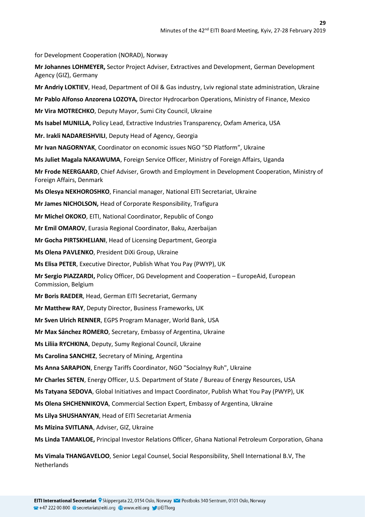for Development Cooperation (NORAD), Norway

**Mr Johannes LOHMEYER,** Sector Project Adviser, Extractives and Development, German Development Agency (GIZ), Germany

**Mr Andriy LOKTIEV**, Head, Department of Oil & Gas industry, Lviv regional state administration, Ukraine

**Mr Pablo Alfonso Anzorena LOZOYA,** Director Hydrocarbon Operations, Ministry of Finance, Mexico

**Mr Vira MOTRECHKO**, Deputy Mayor, Sumi City Council, Ukraine

**Ms Isabel MUNILLA,** Policy Lead, Extractive Industries Transparency, Oxfam America, USA

**Mr. Irakli NADAREISHVILI**, Deputy Head of Agency, Georgia

**Mr Ivan NAGORNYAK**, Coordinator on economic issues NGO "SD Platform", Ukraine

**Ms Juliet Magala NAKAWUMA**, Foreign Service Officer, Ministry of Foreign Affairs, Uganda

**Mr Frode NEERGAARD**, Chief Adviser, Growth and Employment in Development Cooperation, Ministry of Foreign Affairs, Denmark

**Ms Olesya NEKHOROSHKO**, Financial manager, National EITI Secretariat, Ukraine

**Mr James NICHOLSON,** Head of Corporate Responsibility, Trafigura

**Mr Michel OKOKO**, EITI, National Coordinator, Republic of Congo

**Mr Emil OMAROV**, Eurasia Regional Coordinator, Baku, Azerbaijan

**Mr Gocha PIRTSKHELIANI**, Head of Licensing Department, Georgia

**Ms Olena PAVLENKO**, President DiXi Group, Ukraine

**Ms Elisa PETER**, Executive Director, Publish What You Pay (PWYP), UK

**Mr Sergio PIAZZARDI,** Policy Officer, DG Development and Cooperation – EuropeAid, European Commission, Belgium

**Mr Boris RAEDER**, Head, German EITI Secretariat, Germany

**Mr Matthew RAY**, Deputy Director, Business Frameworks, UK

**Mr Sven Ulrich RENNER**, EGPS Program Manager, World Bank, USA

**Mr Max Sánchez ROMERO**, Secretary, Embassy of Argentina, Ukraine

**Ms Liliia RYCHKINA**, Deputy, Sumy Regional Council, Ukraine

**Ms Carolina SANCHEZ**, Secretary of Mining, Argentina

**Ms Anna SARAPION**, Energy Tariffs Coordinator, NGO "Socialnyy Ruh", Ukraine

**Mr Charles SETEN**, Energy Officer, U.S. Department of State / Bureau of Energy Resources, USA

**Ms Tatyana SEDOVA**, Global Initiatives and Impact Coordinator, Publish What You Pay (PWYP), UK

**Ms Olena SHCHENNIKOVA**, Commercial Section Expert, Embassy of Argentina, Ukraine

**Ms Lilya SHUSHANYAN**, Head of EITI Secretariat Armenia

**Ms Mizina SVITLANA**, Adviser, GIZ, Ukraine

**Ms Linda TAMAKLOE,** Principal Investor Relations Officer, Ghana National Petroleum Corporation, Ghana

**Ms Vimala THANGAVELOO**, Senior Legal Counsel, Social Responsibility, Shell International B.V, The **Netherlands**